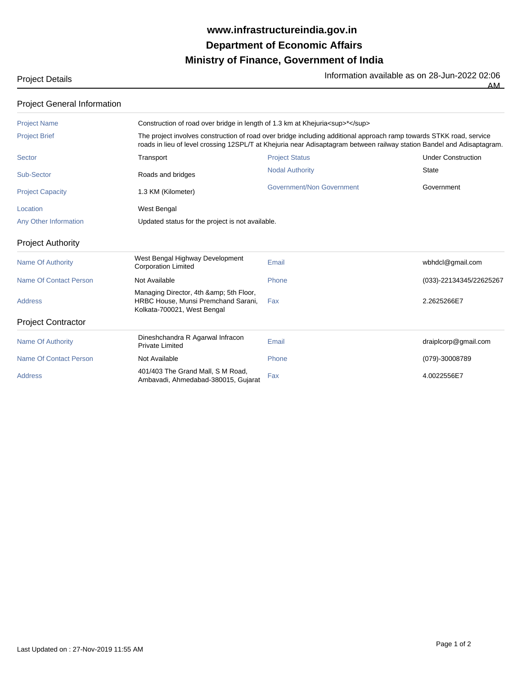## **Ministry of Finance, Government of India Department of Economic Affairs www.infrastructureindia.gov.in**

Project Details **Information available as on 28-Jun-2022 02:06**<br>The Information available as on 28-Jun-2022 02:06

AM

| <b>Project General Information</b> |                                                                                                                                                                                                                                               |                                  |                           |  |
|------------------------------------|-----------------------------------------------------------------------------------------------------------------------------------------------------------------------------------------------------------------------------------------------|----------------------------------|---------------------------|--|
| <b>Project Name</b>                | Construction of road over bridge in length of 1.3 km at Khejuria < sup>*                                                                                                                                                                      |                                  |                           |  |
| <b>Project Brief</b>               | The project involves construction of road over bridge including additional approach ramp towards STKK road, service<br>roads in lieu of level crossing 12SPL/T at Khejuria near Adisaptagram between railway station Bandel and Adisaptagram. |                                  |                           |  |
| <b>Sector</b>                      | Transport                                                                                                                                                                                                                                     | <b>Project Status</b>            | <b>Under Construction</b> |  |
| <b>Sub-Sector</b>                  | Roads and bridges                                                                                                                                                                                                                             | <b>Nodal Authority</b>           | <b>State</b>              |  |
| <b>Project Capacity</b>            | 1.3 KM (Kilometer)                                                                                                                                                                                                                            | <b>Government/Non Government</b> | Government                |  |
| Location                           | West Bengal                                                                                                                                                                                                                                   |                                  |                           |  |
| <b>Any Other Information</b>       | Updated status for the project is not available.                                                                                                                                                                                              |                                  |                           |  |
| <b>Project Authority</b>           |                                                                                                                                                                                                                                               |                                  |                           |  |
| <b>Name Of Authority</b>           | West Bengal Highway Development<br><b>Corporation Limited</b>                                                                                                                                                                                 | Email                            | wbhdcl@gmail.com          |  |
| <b>Name Of Contact Person</b>      | Not Available                                                                                                                                                                                                                                 | Phone                            | (033)-22134345/22625267   |  |
| <b>Address</b>                     | Managing Director, 4th & 5th Floor,<br>HRBC House, Munsi Premchand Sarani,<br>Kolkata-700021, West Bengal                                                                                                                                     | Fax                              | 2.2625266E7               |  |
| <b>Project Contractor</b>          |                                                                                                                                                                                                                                               |                                  |                           |  |
| <b>Name Of Authority</b>           | Dineshchandra R Agarwal Infracon<br><b>Private Limited</b>                                                                                                                                                                                    | Email                            | draiplcorp@gmail.com      |  |
| <b>Name Of Contact Person</b>      | Not Available                                                                                                                                                                                                                                 | Phone                            | (079)-30008789            |  |
| <b>Address</b>                     | 401/403 The Grand Mall, S M Road,<br>Ambavadi, Ahmedabad-380015, Gujarat                                                                                                                                                                      | Fax                              | 4.0022556E7               |  |